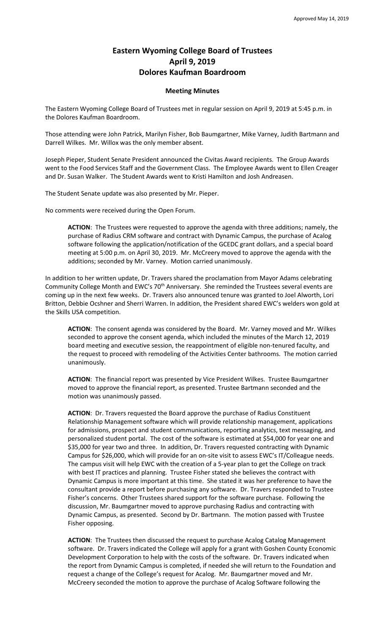## **Eastern Wyoming College Board of Trustees April 9, 2019 Dolores Kaufman Boardroom**

## **Meeting Minutes**

The Eastern Wyoming College Board of Trustees met in regular session on April 9, 2019 at 5:45 p.m. in the Dolores Kaufman Boardroom.

Those attending were John Patrick, Marilyn Fisher, Bob Baumgartner, Mike Varney, Judith Bartmann and Darrell Wilkes. Mr. Willox was the only member absent.

Joseph Pieper, Student Senate President announced the Civitas Award recipients. The Group Awards went to the Food Services Staff and the Government Class. The Employee Awards went to Ellen Creager and Dr. Susan Walker. The Student Awards went to Kristi Hamilton and Josh Andreasen.

The Student Senate update was also presented by Mr. Pieper.

No comments were received during the Open Forum.

**ACTION**: The Trustees were requested to approve the agenda with three additions; namely, the purchase of Radius CRM software and contract with Dynamic Campus, the purchase of Acalog software following the application/notification of the GCEDC grant dollars, and a special board meeting at 5:00 p.m. on April 30, 2019. Mr. McCreery moved to approve the agenda with the additions; seconded by Mr. Varney. Motion carried unanimously.

In addition to her written update, Dr. Travers shared the proclamation from Mayor Adams celebrating Community College Month and EWC's 70<sup>th</sup> Anniversary. She reminded the Trustees several events are coming up in the next few weeks. Dr. Travers also announced tenure was granted to Joel Alworth, Lori Britton, Debbie Ocshner and Sherri Warren. In addition, the President shared EWC's welders won gold at the Skills USA competition.

**ACTION**: The consent agenda was considered by the Board. Mr. Varney moved and Mr. Wilkes seconded to approve the consent agenda, which included the minutes of the March 12, 2019 board meeting and executive session, the reappointment of eligible non-tenured faculty, and the request to proceed with remodeling of the Activities Center bathrooms. The motion carried unanimously.

**ACTION**: The financial report was presented by Vice President Wilkes. Trustee Baumgartner moved to approve the financial report, as presented. Trustee Bartmann seconded and the motion was unanimously passed.

**ACTION**: Dr. Travers requested the Board approve the purchase of Radius Constituent Relationship Management software which will provide relationship management, applications for admissions, prospect and student communications, reporting analytics, text messaging, and personalized student portal. The cost of the software is estimated at \$54,000 for year one and \$35,000 for year two and three. In addition, Dr. Travers requested contracting with Dynamic Campus for \$26,000, which will provide for an on-site visit to assess EWC's IT/Colleague needs. The campus visit will help EWC with the creation of a 5-year plan to get the College on track with best IT practices and planning. Trustee Fisher stated she believes the contract with Dynamic Campus is more important at this time. She stated it was her preference to have the consultant provide a report before purchasing any software. Dr. Travers responded to Trustee Fisher's concerns. Other Trustees shared support for the software purchase. Following the discussion, Mr. Baumgartner moved to approve purchasing Radius and contracting with Dynamic Campus, as presented. Second by Dr. Bartmann. The motion passed with Trustee Fisher opposing.

**ACTION**: The Trustees then discussed the request to purchase Acalog Catalog Management software. Dr. Travers indicated the College will apply for a grant with Goshen County Economic Development Corporation to help with the costs of the software. Dr. Travers indicated when the report from Dynamic Campus is completed, if needed she will return to the Foundation and request a change of the College's request for Acalog. Mr. Baumgartner moved and Mr. McCreery seconded the motion to approve the purchase of Acalog Software following the